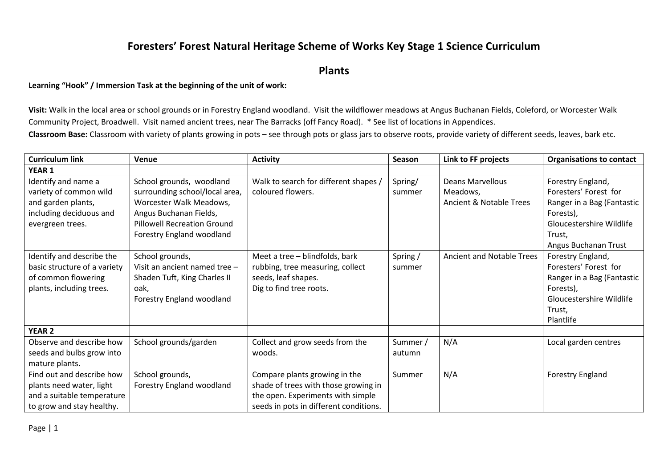## **Foresters' Forest Natural Heritage Scheme of Works Key Stage 1 Science Curriculum**

**Plants**

### **Learning "Hook" / Immersion Task at the beginning of the unit of work:**

**Visit:** Walk in the local area or school grounds or in Forestry England woodland. Visit the wildflower meadows at Angus Buchanan Fields, Coleford, or Worcester Walk Community Project, Broadwell. Visit named ancient trees, near The Barracks (off Fancy Road). \* See list of locations in Appendices.

**Classroom Base:** Classroom with variety of plants growing in pots – see through pots or glass jars to observe roots, provide variety of different seeds, leaves, bark etc.

| <b>Curriculum link</b>       | Venue                              | <b>Activity</b>                        | Season   | Link to FF projects              | <b>Organisations to contact</b> |
|------------------------------|------------------------------------|----------------------------------------|----------|----------------------------------|---------------------------------|
| <b>YEAR 1</b>                |                                    |                                        |          |                                  |                                 |
| Identify and name a          | School grounds, woodland           | Walk to search for different shapes /  | Spring/  | Deans Marvellous                 | Forestry England,               |
| variety of common wild       | surrounding school/local area,     | coloured flowers.                      | summer   | Meadows,                         | Foresters' Forest for           |
| and garden plants,           | Worcester Walk Meadows,            |                                        |          | Ancient & Notable Trees          | Ranger in a Bag (Fantastic      |
| including deciduous and      | Angus Buchanan Fields,             |                                        |          |                                  | Forests),                       |
| evergreen trees.             | <b>Pillowell Recreation Ground</b> |                                        |          |                                  | Gloucestershire Wildlife        |
|                              | Forestry England woodland          |                                        |          |                                  | Trust,                          |
|                              |                                    |                                        |          |                                  | Angus Buchanan Trust            |
| Identify and describe the    | School grounds,                    | Meet a tree - blindfolds, bark         | Spring / | <b>Ancient and Notable Trees</b> | Forestry England,               |
| basic structure of a variety | Visit an ancient named tree -      | rubbing, tree measuring, collect       | summer   |                                  | Foresters' Forest for           |
| of common flowering          | Shaden Tuft, King Charles II       | seeds, leaf shapes.                    |          |                                  | Ranger in a Bag (Fantastic      |
| plants, including trees.     | oak,                               | Dig to find tree roots.                |          |                                  | Forests),                       |
|                              | Forestry England woodland          |                                        |          |                                  | Gloucestershire Wildlife        |
|                              |                                    |                                        |          |                                  | Trust,                          |
|                              |                                    |                                        |          |                                  | Plantlife                       |
| <b>YEAR 2</b>                |                                    |                                        |          |                                  |                                 |
| Observe and describe how     | School grounds/garden              | Collect and grow seeds from the        | Summer / | N/A                              | Local garden centres            |
| seeds and bulbs grow into    |                                    | woods.                                 | autumn   |                                  |                                 |
| mature plants.               |                                    |                                        |          |                                  |                                 |
| Find out and describe how    | School grounds,                    | Compare plants growing in the          | Summer   | N/A                              | Forestry England                |
| plants need water, light     | Forestry England woodland          | shade of trees with those growing in   |          |                                  |                                 |
| and a suitable temperature   |                                    | the open. Experiments with simple      |          |                                  |                                 |
| to grow and stay healthy.    |                                    | seeds in pots in different conditions. |          |                                  |                                 |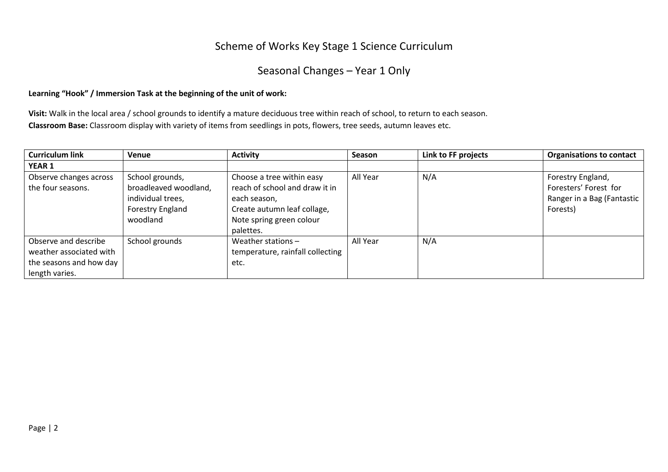## Scheme of Works Key Stage 1 Science Curriculum

# Seasonal Changes – Year 1 Only

#### **Learning "Hook" / Immersion Task at the beginning of the unit of work:**

**Visit:** Walk in the local area / school grounds to identify a mature deciduous tree within reach of school, to return to each season. **Classroom Base:** Classroom display with variety of items from seedlings in pots, flowers, tree seeds, autumn leaves etc.

| <b>Curriculum link</b>  | Venue                 | <b>Activity</b>                  | Season   | Link to FF projects | <b>Organisations to contact</b> |
|-------------------------|-----------------------|----------------------------------|----------|---------------------|---------------------------------|
| <b>YEAR 1</b>           |                       |                                  |          |                     |                                 |
| Observe changes across  | School grounds,       | Choose a tree within easy        | All Year | N/A                 | Forestry England,               |
| the four seasons.       | broadleaved woodland, | reach of school and draw it in   |          |                     | Foresters' Forest for           |
|                         | individual trees,     | each season,                     |          |                     | Ranger in a Bag (Fantastic      |
|                         | Forestry England      | Create autumn leaf collage,      |          |                     | Forests)                        |
|                         | woodland              | Note spring green colour         |          |                     |                                 |
|                         |                       | palettes.                        |          |                     |                                 |
| Observe and describe    | School grounds        | Weather stations $-$             | All Year | N/A                 |                                 |
| weather associated with |                       | temperature, rainfall collecting |          |                     |                                 |
| the seasons and how day |                       | etc.                             |          |                     |                                 |
| length varies.          |                       |                                  |          |                     |                                 |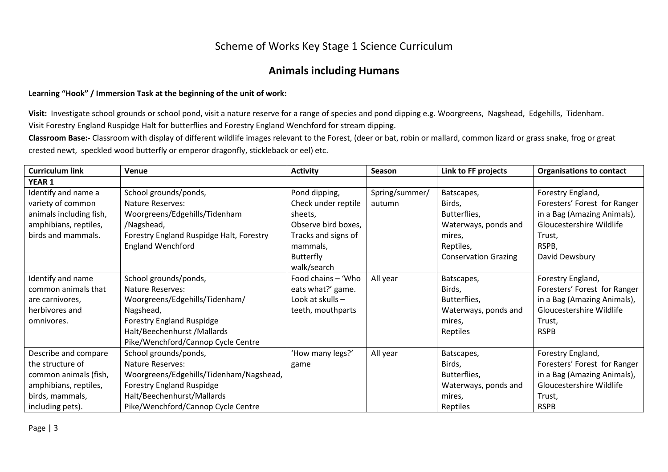## Scheme of Works Key Stage 1 Science Curriculum

### **Animals including Humans**

#### **Learning "Hook" / Immersion Task at the beginning of the unit of work:**

Visit: Investigate school grounds or school pond, visit a nature reserve for a range of species and pond dipping e.g. Woorgreens, Nagshead, Edgehills, Tidenham. Visit Forestry England Ruspidge Halt for butterflies and Forestry England Wenchford for stream dipping.

**Classroom Base:-** Classroom with display of different wildlife images relevant to the Forest, (deer or bat, robin or mallard, common lizard or grass snake, frog or great crested newt, speckled wood butterfly or emperor dragonfly, stickleback or eel) etc.

| <b>Curriculum link</b>  | Venue                                    | <b>Activity</b>     | Season         | Link to FF projects         | <b>Organisations to contact</b> |
|-------------------------|------------------------------------------|---------------------|----------------|-----------------------------|---------------------------------|
| <b>YEAR 1</b>           |                                          |                     |                |                             |                                 |
| Identify and name a     | School grounds/ponds,                    | Pond dipping,       | Spring/summer/ | Batscapes,                  | Forestry England,               |
| variety of common       | Nature Reserves:                         | Check under reptile | autumn         | Birds,                      | Foresters' Forest for Ranger    |
| animals including fish, | Woorgreens/Edgehills/Tidenham            | sheets,             |                | Butterflies,                | in a Bag (Amazing Animals),     |
| amphibians, reptiles,   | /Nagshead,                               | Observe bird boxes, |                | Waterways, ponds and        | Gloucestershire Wildlife        |
| birds and mammals.      | Forestry England Ruspidge Halt, Forestry | Tracks and signs of |                | mires,                      | Trust,                          |
|                         | <b>England Wenchford</b>                 | mammals,            |                | Reptiles,                   | RSPB,                           |
|                         |                                          | <b>Butterfly</b>    |                | <b>Conservation Grazing</b> | David Dewsbury                  |
|                         |                                          | walk/search         |                |                             |                                 |
| Identify and name       | School grounds/ponds,                    | Food chains - 'Who  | All year       | Batscapes,                  | Forestry England,               |
| common animals that     | Nature Reserves:                         | eats what?' game.   |                | Birds,                      | Foresters' Forest for Ranger    |
| are carnivores,         | Woorgreens/Edgehills/Tidenham/           | Look at skulls -    |                | Butterflies,                | in a Bag (Amazing Animals),     |
| herbivores and          | Nagshead,                                | teeth, mouthparts   |                | Waterways, ponds and        | Gloucestershire Wildlife        |
| omnivores.              | <b>Forestry England Ruspidge</b>         |                     |                | mires,                      | Trust,                          |
|                         | Halt/Beechenhurst / Mallards             |                     |                | Reptiles                    | <b>RSPB</b>                     |
|                         | Pike/Wenchford/Cannop Cycle Centre       |                     |                |                             |                                 |
| Describe and compare    | School grounds/ponds,                    | 'How many legs?'    | All year       | Batscapes,                  | Forestry England,               |
| the structure of        | Nature Reserves:                         | game                |                | Birds,                      | Foresters' Forest for Ranger    |
| common animals (fish,   | Woorgreens/Edgehills/Tidenham/Nagshead,  |                     |                | Butterflies,                | in a Bag (Amazing Animals),     |
| amphibians, reptiles,   | <b>Forestry England Ruspidge</b>         |                     |                | Waterways, ponds and        | Gloucestershire Wildlife        |
| birds, mammals,         | Halt/Beechenhurst/Mallards               |                     |                | mires,                      | Trust,                          |
| including pets).        | Pike/Wenchford/Cannop Cycle Centre       |                     |                | Reptiles                    | <b>RSPB</b>                     |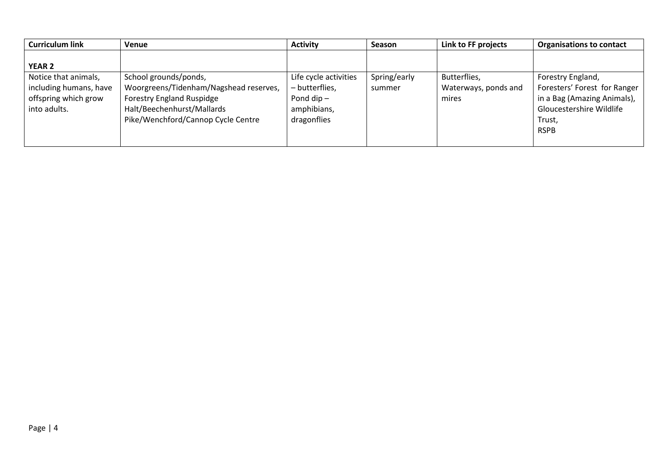| <b>Curriculum link</b>                                                                 | Venue                                                                                                                                                                   | <b>Activity</b>                                                                       | Season                 | Link to FF projects                           | <b>Organisations to contact</b>                                                                                                       |
|----------------------------------------------------------------------------------------|-------------------------------------------------------------------------------------------------------------------------------------------------------------------------|---------------------------------------------------------------------------------------|------------------------|-----------------------------------------------|---------------------------------------------------------------------------------------------------------------------------------------|
| <b>YEAR 2</b>                                                                          |                                                                                                                                                                         |                                                                                       |                        |                                               |                                                                                                                                       |
| Notice that animals,<br>including humans, have<br>offspring which grow<br>into adults. | School grounds/ponds,<br>Woorgreens/Tidenham/Nagshead reserves,<br><b>Forestry England Ruspidge</b><br>Halt/Beechenhurst/Mallards<br>Pike/Wenchford/Cannop Cycle Centre | Life cycle activities<br>- butterflies,<br>Pond dip $-$<br>amphibians,<br>dragonflies | Spring/early<br>summer | Butterflies,<br>Waterways, ponds and<br>mires | Forestry England,<br>Foresters' Forest for Ranger<br>in a Bag (Amazing Animals),<br>Gloucestershire Wildlife<br>Trust,<br><b>RSPB</b> |
|                                                                                        |                                                                                                                                                                         |                                                                                       |                        |                                               |                                                                                                                                       |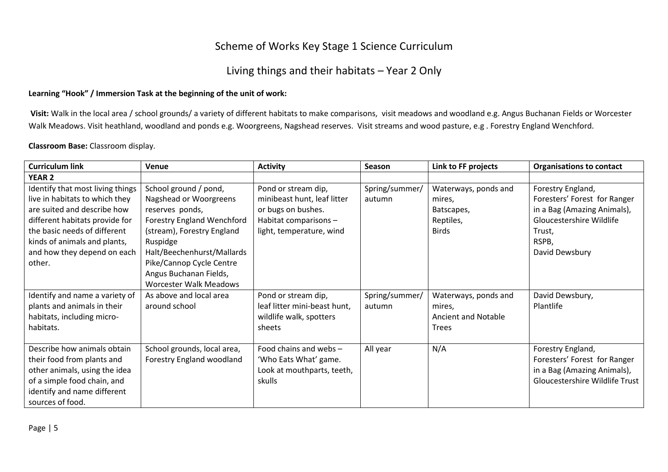## Scheme of Works Key Stage 1 Science Curriculum

## Living things and their habitats – Year 2 Only

#### **Learning "Hook" / Immersion Task at the beginning of the unit of work:**

Visit: Walk in the local area / school grounds/ a variety of different habitats to make comparisons, visit meadows and woodland e.g. Angus Buchanan Fields or Worcester Walk Meadows. Visit heathland, woodland and ponds e.g. Woorgreens, Nagshead reserves. Visit streams and wood pasture, e.g . Forestry England Wenchford.

#### **Classroom Base:** Classroom display.

| <b>Curriculum link</b>           | Venue                         | <b>Activity</b>              | <b>Season</b>  | Link to FF projects  | <b>Organisations to contact</b> |
|----------------------------------|-------------------------------|------------------------------|----------------|----------------------|---------------------------------|
| <b>YEAR 2</b>                    |                               |                              |                |                      |                                 |
| Identify that most living things | School ground / pond,         | Pond or stream dip,          | Spring/summer/ | Waterways, ponds and | Forestry England,               |
| live in habitats to which they   | Nagshead or Woorgreens        | minibeast hunt, leaf litter  | autumn         | mires,               | Foresters' Forest for Ranger    |
| are suited and describe how      | reserves ponds,               | or bugs on bushes.           |                | Batscapes,           | in a Bag (Amazing Animals),     |
| different habitats provide for   | Forestry England Wenchford    | Habitat comparisons -        |                | Reptiles,            | Gloucestershire Wildlife        |
| the basic needs of different     | (stream), Forestry England    | light, temperature, wind     |                | <b>Birds</b>         | Trust,                          |
| kinds of animals and plants,     | Ruspidge                      |                              |                |                      | RSPB,                           |
| and how they depend on each      | Halt/Beechenhurst/Mallards    |                              |                |                      | David Dewsbury                  |
| other.                           | Pike/Cannop Cycle Centre      |                              |                |                      |                                 |
|                                  | Angus Buchanan Fields,        |                              |                |                      |                                 |
|                                  | <b>Worcester Walk Meadows</b> |                              |                |                      |                                 |
| Identify and name a variety of   | As above and local area       | Pond or stream dip,          | Spring/summer/ | Waterways, ponds and | David Dewsbury,                 |
| plants and animals in their      | around school                 | leaf litter mini-beast hunt, | autumn         | mires,               | Plantlife                       |
| habitats, including micro-       |                               | wildlife walk, spotters      |                | Ancient and Notable  |                                 |
| habitats.                        |                               | sheets                       |                | <b>Trees</b>         |                                 |
|                                  |                               |                              |                |                      |                                 |
| Describe how animals obtain      | School grounds, local area,   | Food chains and webs -       | All year       | N/A                  | Forestry England,               |
| their food from plants and       | Forestry England woodland     | 'Who Eats What' game.        |                |                      | Foresters' Forest for Ranger    |
| other animals, using the idea    |                               | Look at mouthparts, teeth,   |                |                      | in a Bag (Amazing Animals),     |
| of a simple food chain, and      |                               | skulls                       |                |                      | Gloucestershire Wildlife Trust  |
| identify and name different      |                               |                              |                |                      |                                 |
| sources of food.                 |                               |                              |                |                      |                                 |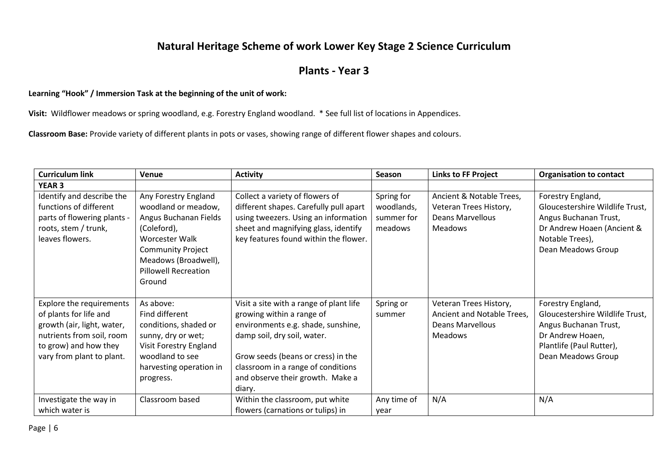## **Natural Heritage Scheme of work Lower Key Stage 2 Science Curriculum**

## **Plants - Year 3**

#### **Learning "Hook" / Immersion Task at the beginning of the unit of work:**

**Visit:** Wildflower meadows or spring woodland, e.g. Forestry England woodland. \* See full list of locations in Appendices.

**Classroom Base:** Provide variety of different plants in pots or vases, showing range of different flower shapes and colours.

| <b>Curriculum link</b>                                                                                                                                              | Venue                                                                                                                                                                                              | <b>Activity</b>                                                                                                                                                                                                                                                     | Season                                            | <b>Links to FF Project</b>                                                                        | <b>Organisation to contact</b>                                                                                                                       |
|---------------------------------------------------------------------------------------------------------------------------------------------------------------------|----------------------------------------------------------------------------------------------------------------------------------------------------------------------------------------------------|---------------------------------------------------------------------------------------------------------------------------------------------------------------------------------------------------------------------------------------------------------------------|---------------------------------------------------|---------------------------------------------------------------------------------------------------|------------------------------------------------------------------------------------------------------------------------------------------------------|
| <b>YEAR 3</b>                                                                                                                                                       |                                                                                                                                                                                                    |                                                                                                                                                                                                                                                                     |                                                   |                                                                                                   |                                                                                                                                                      |
| Identify and describe the<br>functions of different<br>parts of flowering plants -<br>roots, stem / trunk,<br>leaves flowers.                                       | Any Forestry England<br>woodland or meadow,<br>Angus Buchanan Fields<br>(Coleford),<br>Worcester Walk<br><b>Community Project</b><br>Meadows (Broadwell),<br><b>Pillowell Recreation</b><br>Ground | Collect a variety of flowers of<br>different shapes. Carefully pull apart<br>using tweezers. Using an information<br>sheet and magnifying glass, identify<br>key features found within the flower.                                                                  | Spring for<br>woodlands,<br>summer for<br>meadows | Ancient & Notable Trees,<br>Veteran Trees History,<br><b>Deans Marvellous</b><br><b>Meadows</b>   | Forestry England,<br>Gloucestershire Wildlife Trust,<br>Angus Buchanan Trust,<br>Dr Andrew Hoaen (Ancient &<br>Notable Trees),<br>Dean Meadows Group |
| Explore the requirements<br>of plants for life and<br>growth (air, light, water,<br>nutrients from soil, room<br>to grow) and how they<br>vary from plant to plant. | As above:<br>Find different<br>conditions, shaded or<br>sunny, dry or wet;<br>Visit Forestry England<br>woodland to see<br>harvesting operation in<br>progress.                                    | Visit a site with a range of plant life<br>growing within a range of<br>environments e.g. shade, sunshine,<br>damp soil, dry soil, water.<br>Grow seeds (beans or cress) in the<br>classroom in a range of conditions<br>and observe their growth. Make a<br>diary. | Spring or<br>summer                               | Veteran Trees History,<br>Ancient and Notable Trees,<br><b>Deans Marvellous</b><br><b>Meadows</b> | Forestry England,<br>Gloucestershire Wildlife Trust,<br>Angus Buchanan Trust,<br>Dr Andrew Hoaen,<br>Plantlife (Paul Rutter),<br>Dean Meadows Group  |
| Investigate the way in<br>which water is                                                                                                                            | Classroom based                                                                                                                                                                                    | Within the classroom, put white<br>flowers (carnations or tulips) in                                                                                                                                                                                                | Any time of<br>year                               | N/A                                                                                               | N/A                                                                                                                                                  |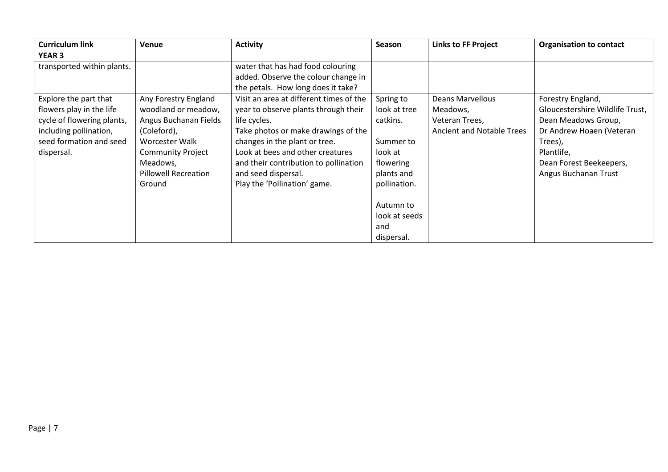| <b>Curriculum link</b>     | Venue                       | <b>Activity</b>                         | <b>Season</b> | <b>Links to FF Project</b>       | <b>Organisation to contact</b>  |
|----------------------------|-----------------------------|-----------------------------------------|---------------|----------------------------------|---------------------------------|
| <b>YEAR 3</b>              |                             |                                         |               |                                  |                                 |
| transported within plants. |                             | water that has had food colouring       |               |                                  |                                 |
|                            |                             | added. Observe the colour change in     |               |                                  |                                 |
|                            |                             | the petals. How long does it take?      |               |                                  |                                 |
| Explore the part that      | Any Forestry England        | Visit an area at different times of the | Spring to     | Deans Marvellous                 | Forestry England,               |
| flowers play in the life   | woodland or meadow,         | year to observe plants through their    | look at tree  | Meadows,                         | Gloucestershire Wildlife Trust, |
| cycle of flowering plants, | Angus Buchanan Fields       | life cycles.                            | catkins.      | Veteran Trees,                   | Dean Meadows Group,             |
| including pollination,     | (Coleford),                 | Take photos or make drawings of the     |               | <b>Ancient and Notable Trees</b> | Dr Andrew Hoaen (Veteran        |
| seed formation and seed    | Worcester Walk              | changes in the plant or tree.           | Summer to     |                                  | Trees),                         |
| dispersal.                 | <b>Community Project</b>    | Look at bees and other creatures        | look at       |                                  | Plantlife,                      |
|                            | Meadows,                    | and their contribution to pollination   | flowering     |                                  | Dean Forest Beekeepers,         |
|                            | <b>Pillowell Recreation</b> | and seed dispersal.                     | plants and    |                                  | Angus Buchanan Trust            |
|                            | Ground                      | Play the 'Pollination' game.            | pollination.  |                                  |                                 |
|                            |                             |                                         |               |                                  |                                 |
|                            |                             |                                         | Autumn to     |                                  |                                 |
|                            |                             |                                         | look at seeds |                                  |                                 |
|                            |                             |                                         | and           |                                  |                                 |
|                            |                             |                                         | dispersal.    |                                  |                                 |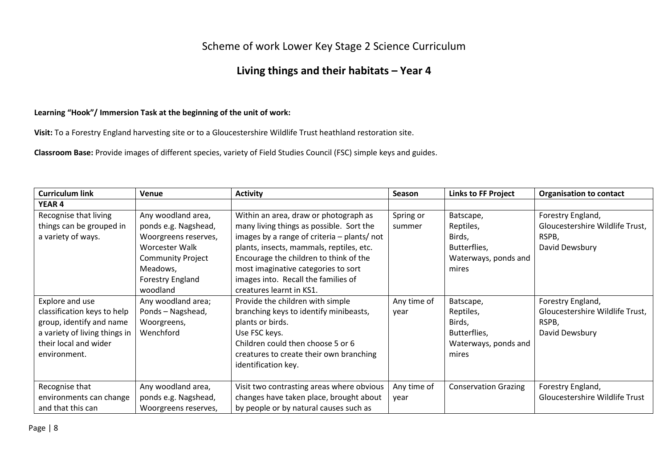## Scheme of work Lower Key Stage 2 Science Curriculum

# **Living things and their habitats – Year 4**

### **Learning "Hook"/ Immersion Task at the beginning of the unit of work:**

**Visit:** To a Forestry England harvesting site or to a Gloucestershire Wildlife Trust heathland restoration site.

**Classroom Base:** Provide images of different species, variety of Field Studies Council (FSC) simple keys and guides.

| <b>Curriculum link</b>                                                                                                                               | Venue                                                                                                                                                        | <b>Activity</b>                                                                                                                                                                                                                                                                                                                  | <b>Season</b>       | <b>Links to FF Project</b>                                                        | <b>Organisation to contact</b>                                                  |
|------------------------------------------------------------------------------------------------------------------------------------------------------|--------------------------------------------------------------------------------------------------------------------------------------------------------------|----------------------------------------------------------------------------------------------------------------------------------------------------------------------------------------------------------------------------------------------------------------------------------------------------------------------------------|---------------------|-----------------------------------------------------------------------------------|---------------------------------------------------------------------------------|
| <b>YEAR4</b>                                                                                                                                         |                                                                                                                                                              |                                                                                                                                                                                                                                                                                                                                  |                     |                                                                                   |                                                                                 |
| Recognise that living<br>things can be grouped in<br>a variety of ways.                                                                              | Any woodland area,<br>ponds e.g. Nagshead,<br>Woorgreens reserves,<br>Worcester Walk<br><b>Community Project</b><br>Meadows,<br>Forestry England<br>woodland | Within an area, draw or photograph as<br>many living things as possible. Sort the<br>images by a range of criteria - plants/ not<br>plants, insects, mammals, reptiles, etc.<br>Encourage the children to think of the<br>most imaginative categories to sort<br>images into. Recall the families of<br>creatures learnt in KS1. | Spring or<br>summer | Batscape,<br>Reptiles,<br>Birds,<br>Butterflies,<br>Waterways, ponds and<br>mires | Forestry England,<br>Gloucestershire Wildlife Trust,<br>RSPB,<br>David Dewsbury |
| Explore and use<br>classification keys to help<br>group, identify and name<br>a variety of living things in<br>their local and wider<br>environment. | Any woodland area;<br>Ponds - Nagshead,<br>Woorgreens,<br>Wenchford                                                                                          | Provide the children with simple<br>branching keys to identify minibeasts,<br>plants or birds.<br>Use FSC keys.<br>Children could then choose 5 or 6<br>creatures to create their own branching<br>identification key.                                                                                                           | Any time of<br>year | Batscape,<br>Reptiles,<br>Birds,<br>Butterflies,<br>Waterways, ponds and<br>mires | Forestry England,<br>Gloucestershire Wildlife Trust,<br>RSPB,<br>David Dewsbury |
| Recognise that<br>environments can change<br>and that this can                                                                                       | Any woodland area,<br>ponds e.g. Nagshead,<br>Woorgreens reserves,                                                                                           | Visit two contrasting areas where obvious<br>changes have taken place, brought about<br>by people or by natural causes such as                                                                                                                                                                                                   | Any time of<br>year | <b>Conservation Grazing</b>                                                       | Forestry England,<br>Gloucestershire Wildlife Trust                             |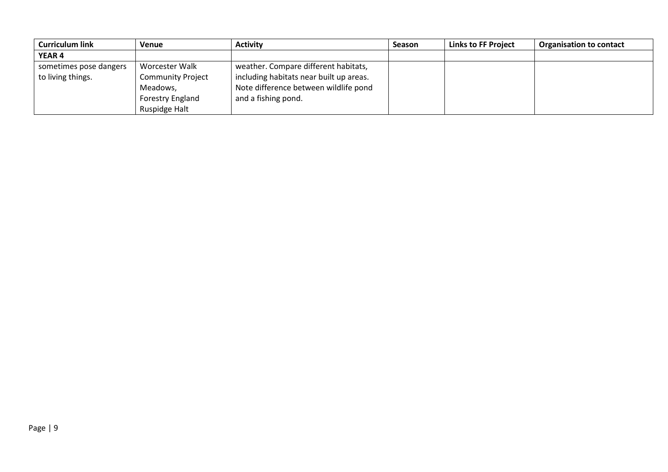| <b>Curriculum link</b> | Venue                    | <b>Activity</b>                         | Season | <b>Links to FF Project</b> | <b>Organisation to contact</b> |
|------------------------|--------------------------|-----------------------------------------|--------|----------------------------|--------------------------------|
| <b>YEAR 4</b>          |                          |                                         |        |                            |                                |
| sometimes pose dangers | Worcester Walk           | weather. Compare different habitats,    |        |                            |                                |
| to living things.      | <b>Community Project</b> | including habitats near built up areas. |        |                            |                                |
|                        | Meadows,                 | Note difference between wildlife pond   |        |                            |                                |
|                        | Forestry England         | and a fishing pond.                     |        |                            |                                |
|                        | Ruspidge Halt            |                                         |        |                            |                                |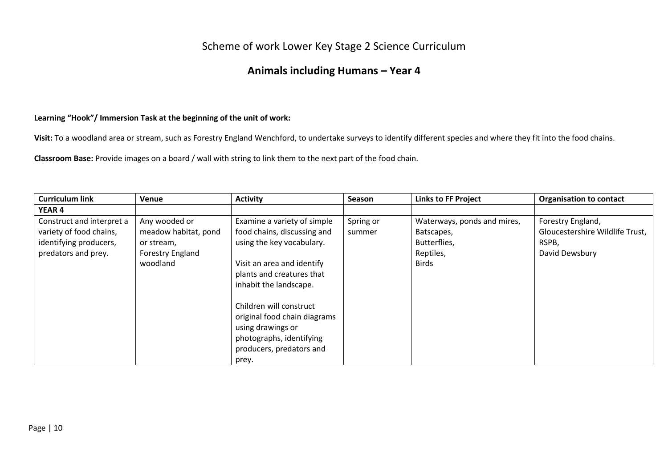## Scheme of work Lower Key Stage 2 Science Curriculum

## **Animals including Humans – Year 4**

### **Learning "Hook"/ Immersion Task at the beginning of the unit of work:**

**Visit:** To a woodland area or stream, such as Forestry England Wenchford, to undertake surveys to identify different species and where they fit into the food chains.

**Classroom Base:** Provide images on a board / wall with string to link them to the next part of the food chain.

| <b>Curriculum link</b>                                                                                | Venue                                                                               | <b>Activity</b>                                                                                                                                                                                                                                                                                                               | <b>Season</b>       | <b>Links to FF Project</b>                                                             | <b>Organisation to contact</b>                                                  |
|-------------------------------------------------------------------------------------------------------|-------------------------------------------------------------------------------------|-------------------------------------------------------------------------------------------------------------------------------------------------------------------------------------------------------------------------------------------------------------------------------------------------------------------------------|---------------------|----------------------------------------------------------------------------------------|---------------------------------------------------------------------------------|
| <b>YEAR 4</b>                                                                                         |                                                                                     |                                                                                                                                                                                                                                                                                                                               |                     |                                                                                        |                                                                                 |
| Construct and interpret a<br>variety of food chains,<br>identifying producers,<br>predators and prey. | Any wooded or<br>meadow habitat, pond<br>or stream,<br>Forestry England<br>woodland | Examine a variety of simple<br>food chains, discussing and<br>using the key vocabulary.<br>Visit an area and identify<br>plants and creatures that<br>inhabit the landscape.<br>Children will construct<br>original food chain diagrams<br>using drawings or<br>photographs, identifying<br>producers, predators and<br>prey. | Spring or<br>summer | Waterways, ponds and mires,<br>Batscapes,<br>Butterflies,<br>Reptiles,<br><b>Birds</b> | Forestry England,<br>Gloucestershire Wildlife Trust,<br>RSPB,<br>David Dewsbury |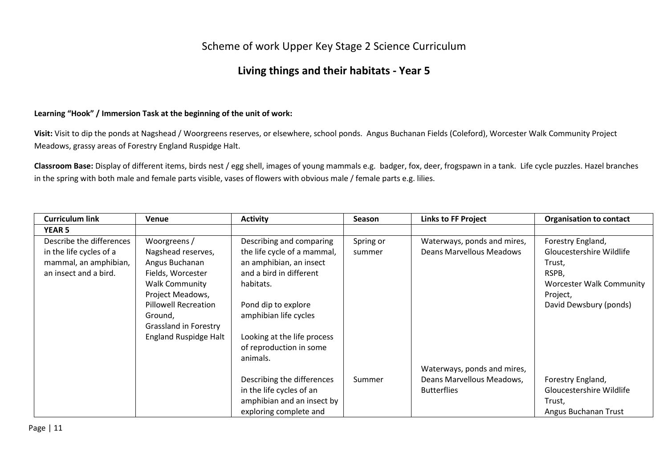### Scheme of work Upper Key Stage 2 Science Curriculum

### **Living things and their habitats - Year 5**

#### **Learning "Hook" / Immersion Task at the beginning of the unit of work:**

**Visit:** Visit to dip the ponds at Nagshead / Woorgreens reserves, or elsewhere, school ponds. Angus Buchanan Fields (Coleford), Worcester Walk Community Project Meadows, grassy areas of Forestry England Ruspidge Halt.

**Classroom Base:** Display of different items, birds nest / egg shell, images of young mammals e.g. badger, fox, deer, frogspawn in a tank. Life cycle puzzles. Hazel branches in the spring with both male and female parts visible, vases of flowers with obvious male / female parts e.g. lilies.

| <b>Curriculum link</b>   | Venue                        | <b>Activity</b>             | <b>Season</b> | <b>Links to FF Project</b>      | <b>Organisation to contact</b>  |
|--------------------------|------------------------------|-----------------------------|---------------|---------------------------------|---------------------------------|
| <b>YEAR 5</b>            |                              |                             |               |                                 |                                 |
| Describe the differences | Woorgreens /                 | Describing and comparing    | Spring or     | Waterways, ponds and mires,     | Forestry England,               |
| in the life cycles of a  | Nagshead reserves,           | the life cycle of a mammal, | summer        | <b>Deans Marvellous Meadows</b> | Gloucestershire Wildlife        |
| mammal, an amphibian,    | Angus Buchanan               | an amphibian, an insect     |               |                                 | Trust,                          |
| an insect and a bird.    | Fields, Worcester            | and a bird in different     |               |                                 | RSPB,                           |
|                          | <b>Walk Community</b>        | habitats.                   |               |                                 | <b>Worcester Walk Community</b> |
|                          | Project Meadows,             |                             |               |                                 | Project,                        |
|                          | <b>Pillowell Recreation</b>  | Pond dip to explore         |               |                                 | David Dewsbury (ponds)          |
|                          | Ground,                      | amphibian life cycles       |               |                                 |                                 |
|                          | Grassland in Forestry        |                             |               |                                 |                                 |
|                          | <b>England Ruspidge Halt</b> | Looking at the life process |               |                                 |                                 |
|                          |                              | of reproduction in some     |               |                                 |                                 |
|                          |                              | animals.                    |               |                                 |                                 |
|                          |                              |                             |               | Waterways, ponds and mires,     |                                 |
|                          |                              | Describing the differences  | Summer        | Deans Marvellous Meadows,       | Forestry England,               |
|                          |                              | in the life cycles of an    |               | <b>Butterflies</b>              | Gloucestershire Wildlife        |
|                          |                              | amphibian and an insect by  |               |                                 | Trust,                          |
|                          |                              | exploring complete and      |               |                                 | Angus Buchanan Trust            |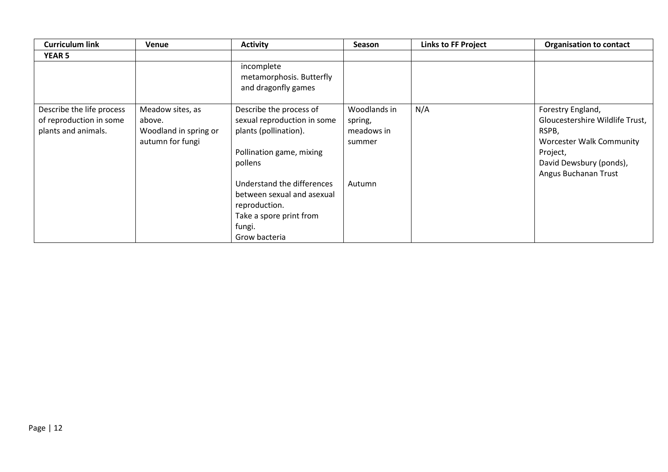| <b>Curriculum link</b>                                                      | <b>Venue</b>                                                            | <b>Activity</b>                                                                                                                 | <b>Season</b>                                   | <b>Links to FF Project</b> | <b>Organisation to contact</b>                                                                                                                                  |
|-----------------------------------------------------------------------------|-------------------------------------------------------------------------|---------------------------------------------------------------------------------------------------------------------------------|-------------------------------------------------|----------------------------|-----------------------------------------------------------------------------------------------------------------------------------------------------------------|
| <b>YEAR 5</b>                                                               |                                                                         |                                                                                                                                 |                                                 |                            |                                                                                                                                                                 |
|                                                                             |                                                                         | incomplete<br>metamorphosis. Butterfly<br>and dragonfly games                                                                   |                                                 |                            |                                                                                                                                                                 |
| Describe the life process<br>of reproduction in some<br>plants and animals. | Meadow sites, as<br>above.<br>Woodland in spring or<br>autumn for fungi | Describe the process of<br>sexual reproduction in some<br>plants (pollination).<br>Pollination game, mixing<br>pollens          | Woodlands in<br>spring,<br>meadows in<br>summer | N/A                        | Forestry England,<br>Gloucestershire Wildlife Trust,<br>RSPB,<br><b>Worcester Walk Community</b><br>Project,<br>David Dewsbury (ponds),<br>Angus Buchanan Trust |
|                                                                             |                                                                         | Understand the differences<br>between sexual and asexual<br>reproduction.<br>Take a spore print from<br>fungi.<br>Grow bacteria | Autumn                                          |                            |                                                                                                                                                                 |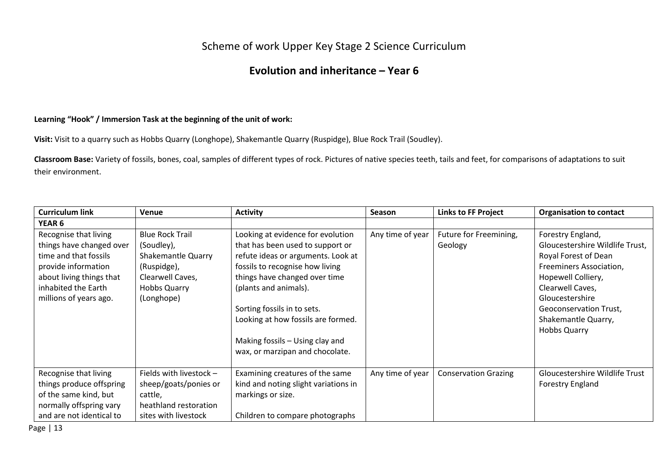## Scheme of work Upper Key Stage 2 Science Curriculum

## **Evolution and inheritance – Year 6**

### **Learning "Hook" / Immersion Task at the beginning of the unit of work:**

**Visit:** Visit to a quarry such as Hobbs Quarry (Longhope), Shakemantle Quarry (Ruspidge), Blue Rock Trail (Soudley).

**Classroom Base:** Variety of fossils, bones, coal, samples of different types of rock. Pictures of native species teeth, tails and feet, for comparisons of adaptations to suit their environment.

| <b>Curriculum link</b>                                                                                                                                                         | Venue                                                                                                                              | <b>Activity</b>                                                                                                                                                                                                                                                                                                  | <b>Season</b>    | <b>Links to FF Project</b>        | <b>Organisation to contact</b>                                                                                                                                                                                                               |
|--------------------------------------------------------------------------------------------------------------------------------------------------------------------------------|------------------------------------------------------------------------------------------------------------------------------------|------------------------------------------------------------------------------------------------------------------------------------------------------------------------------------------------------------------------------------------------------------------------------------------------------------------|------------------|-----------------------------------|----------------------------------------------------------------------------------------------------------------------------------------------------------------------------------------------------------------------------------------------|
| <b>YEAR 6</b>                                                                                                                                                                  |                                                                                                                                    |                                                                                                                                                                                                                                                                                                                  |                  |                                   |                                                                                                                                                                                                                                              |
| Recognise that living<br>things have changed over<br>time and that fossils<br>provide information<br>about living things that<br>inhabited the Earth<br>millions of years ago. | <b>Blue Rock Trail</b><br>(Soudley),<br>Shakemantle Quarry<br>(Ruspidge),<br>Clearwell Caves,<br><b>Hobbs Quarry</b><br>(Longhope) | Looking at evidence for evolution<br>that has been used to support or<br>refute ideas or arguments. Look at<br>fossils to recognise how living<br>things have changed over time<br>(plants and animals).<br>Sorting fossils in to sets.<br>Looking at how fossils are formed.<br>Making fossils - Using clay and | Any time of year | Future for Freemining,<br>Geology | Forestry England,<br>Gloucestershire Wildlife Trust,<br>Royal Forest of Dean<br>Freeminers Association,<br>Hopewell Colliery,<br>Clearwell Caves,<br>Gloucestershire<br>Geoconservation Trust,<br>Shakemantle Quarry,<br><b>Hobbs Quarry</b> |
| Recognise that living<br>things produce offspring<br>of the same kind, but<br>normally offspring vary<br>and are not identical to                                              | Fields with livestock -<br>sheep/goats/ponies or<br>cattle,<br>heathland restoration<br>sites with livestock                       | wax, or marzipan and chocolate.<br>Examining creatures of the same<br>kind and noting slight variations in<br>markings or size.<br>Children to compare photographs                                                                                                                                               | Any time of year | <b>Conservation Grazing</b>       | Gloucestershire Wildlife Trust<br><b>Forestry England</b>                                                                                                                                                                                    |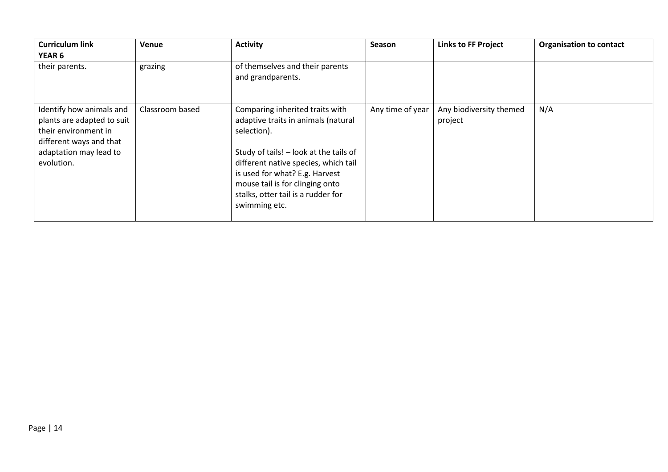| <b>Curriculum link</b>                                                                                                                            | Venue           | <b>Activity</b>                                                                                                                                                                                                                                                                                     | Season           | <b>Links to FF Project</b>         | <b>Organisation to contact</b> |
|---------------------------------------------------------------------------------------------------------------------------------------------------|-----------------|-----------------------------------------------------------------------------------------------------------------------------------------------------------------------------------------------------------------------------------------------------------------------------------------------------|------------------|------------------------------------|--------------------------------|
| <b>YEAR 6</b>                                                                                                                                     |                 |                                                                                                                                                                                                                                                                                                     |                  |                                    |                                |
| their parents.                                                                                                                                    | grazing         | of themselves and their parents<br>and grandparents.                                                                                                                                                                                                                                                |                  |                                    |                                |
| Identify how animals and<br>plants are adapted to suit<br>their environment in<br>different ways and that<br>adaptation may lead to<br>evolution. | Classroom based | Comparing inherited traits with<br>adaptive traits in animals (natural<br>selection).<br>Study of tails! - look at the tails of<br>different native species, which tail<br>is used for what? E.g. Harvest<br>mouse tail is for clinging onto<br>stalks, otter tail is a rudder for<br>swimming etc. | Any time of year | Any biodiversity themed<br>project | N/A                            |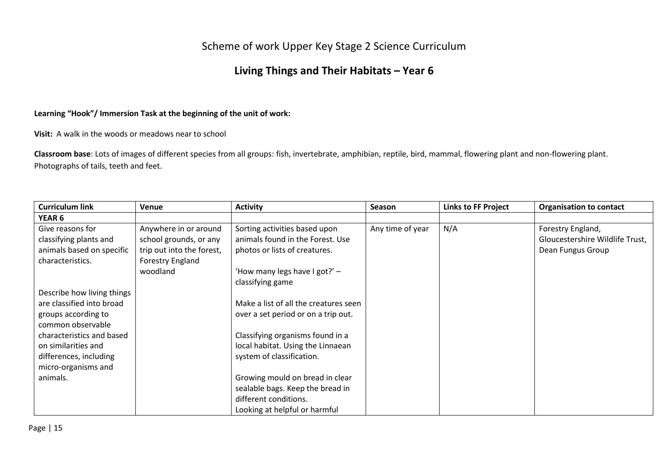## Scheme of work Upper Key Stage 2 Science Curriculum

# **Living Things and Their Habitats – Year 6**

### **Learning "Hook"/ Immersion Task at the beginning of the unit of work:**

**Visit:** A walk in the woods or meadows near to school

**Classroom base**: Lots of images of different species from all groups: fish, invertebrate, amphibian, reptile, bird, mammal, flowering plant and non-flowering plant. Photographs of tails, teeth and feet.

| <b>Curriculum link</b>     | <b>Venue</b>              | <b>Activity</b>                       | <b>Season</b>    | <b>Links to FF Project</b> | <b>Organisation to contact</b>  |
|----------------------------|---------------------------|---------------------------------------|------------------|----------------------------|---------------------------------|
| <b>YEAR 6</b>              |                           |                                       |                  |                            |                                 |
| Give reasons for           | Anywhere in or around     | Sorting activities based upon         | Any time of year | N/A                        | Forestry England,               |
| classifying plants and     | school grounds, or any    | animals found in the Forest. Use      |                  |                            | Gloucestershire Wildlife Trust, |
| animals based on specific  | trip out into the forest, | photos or lists of creatures.         |                  |                            | Dean Fungus Group               |
| characteristics.           | Forestry England          |                                       |                  |                            |                                 |
|                            | woodland                  | 'How many legs have I got?' -         |                  |                            |                                 |
|                            |                           | classifying game                      |                  |                            |                                 |
| Describe how living things |                           |                                       |                  |                            |                                 |
| are classified into broad  |                           | Make a list of all the creatures seen |                  |                            |                                 |
| groups according to        |                           | over a set period or on a trip out.   |                  |                            |                                 |
| common observable          |                           |                                       |                  |                            |                                 |
| characteristics and based  |                           | Classifying organisms found in a      |                  |                            |                                 |
| on similarities and        |                           | local habitat. Using the Linnaean     |                  |                            |                                 |
| differences, including     |                           | system of classification.             |                  |                            |                                 |
| micro-organisms and        |                           |                                       |                  |                            |                                 |
| animals.                   |                           | Growing mould on bread in clear       |                  |                            |                                 |
|                            |                           | sealable bags. Keep the bread in      |                  |                            |                                 |
|                            |                           | different conditions.                 |                  |                            |                                 |
|                            |                           | Looking at helpful or harmful         |                  |                            |                                 |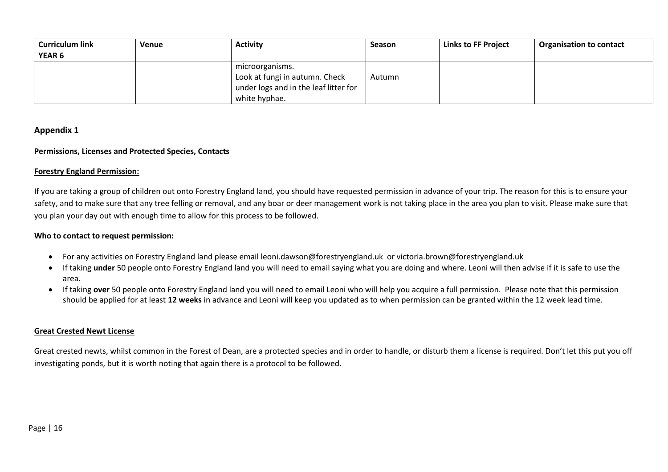| <b>Curriculum link</b> | <b>Venue</b> | <b>Activity</b>                                                                                             | Season | Links to FF Project | <b>Organisation to contact</b> |
|------------------------|--------------|-------------------------------------------------------------------------------------------------------------|--------|---------------------|--------------------------------|
| <b>YEAR 6</b>          |              |                                                                                                             |        |                     |                                |
|                        |              | microorganisms.<br>Look at fungi in autumn. Check<br>under logs and in the leaf litter for<br>white hyphae. | Autumn |                     |                                |

#### **Appendix 1**

#### **Permissions, Licenses and Protected Species, Contacts**

#### **Forestry England Permission:**

If you are taking a group of children out onto Forestry England land, you should have requested permission in advance of your trip. The reason for this is to ensure your safety, and to make sure that any tree felling or removal, and any boar or deer management work is not taking place in the area you plan to visit. Please make sure that you plan your day out with enough time to allow for this process to be followed.

#### **Who to contact to request permission:**

- For any activities on Forestry England land please email leoni.dawson@forestryengland.uk or victoria.brown@forestryengland.uk
- If taking **under** 50 people onto Forestry England land you will need to email saying what you are doing and where. Leoni will then advise if it is safe to use the area.
- If taking **over** 50 people onto Forestry England land you will need to email Leoni who will help you acquire a full permission. Please note that this permission should be applied for at least **12 weeks** in advance and Leoni will keep you updated as to when permission can be granted within the 12 week lead time.

#### **Great Crested Newt License**

Great crested newts, whilst common in the Forest of Dean, are a protected species and in order to handle, or disturb them a license is required. Don't let this put you off investigating ponds, but it is worth noting that again there is a protocol to be followed.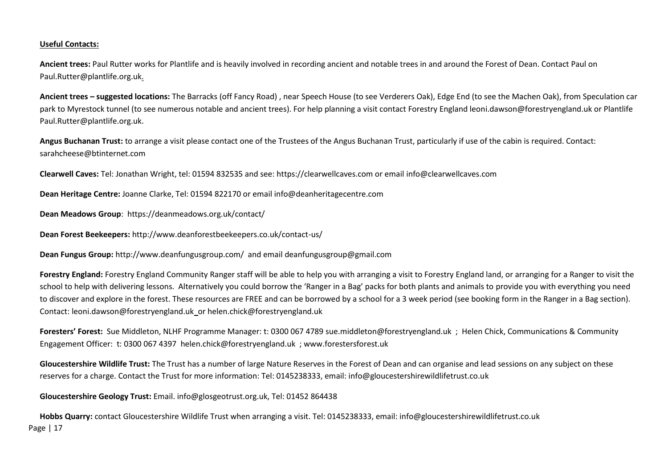#### **Useful Contacts:**

**Ancient trees:** Paul Rutter works for Plantlife and is heavily involved in recording ancient and notable trees in and around the Forest of Dean. Contact Paul on Paul.Rutter@plantlife.org.uk.

**Ancient trees – suggested locations:** The Barracks (off Fancy Road) , near Speech House (to see Verderers Oak), Edge End (to see the Machen Oak), from Speculation car park to Myrestock tunnel (to see numerous notable and ancient trees). For help planning a visit contact Forestry England leoni.dawson@forestryengland.uk or Plantlife Paul.Rutter@plantlife.org.uk.

**Angus Buchanan Trust:** to arrange a visit please contact one of the Trustees of the Angus Buchanan Trust, particularly if use of the cabin is required. Contact: sarahcheese@btinternet.com

**Clearwell Caves:** Tel: Jonathan Wright, tel: 01594 832535 and see: https://clearwellcaves.com or email info@clearwellcaves.com

**Dean Heritage Centre:** Joanne Clarke, Tel: 01594 822170 or email info@deanheritagecentre.com

**Dean Meadows Group**: https://deanmeadows.org.uk/contact/

**Dean Forest Beekeepers:** http://www.deanforestbeekeepers.co.uk/contact-us/

**Dean Fungus Group:** http://www.deanfungusgroup.com/ and email deanfungusgroup@gmail.com

**Forestry England:** Forestry England Community Ranger staff will be able to help you with arranging a visit to Forestry England land, or arranging for a Ranger to visit the school to help with delivering lessons. Alternatively you could borrow the 'Ranger in a Bag' packs for both plants and animals to provide you with everything you need to discover and explore in the forest. These resources are FREE and can be borrowed by a school for a 3 week period (see booking form in the Ranger in a Bag section). Contact: leoni.dawson@forestryengland.uk or helen.chick@forestryengland.uk

**Foresters' Forest:** Sue Middleton, NLHF Programme Manager: t: 0300 067 4789 sue.middleton@forestryengland.uk ; Helen Chick, Communications & Community Engagement Officer: t: 0300 067 4397 helen.chick@forestryengland.uk ; www.forestersforest.uk

**Gloucestershire Wildlife Trust:** The Trust has a number of large Nature Reserves in the Forest of Dean and can organise and lead sessions on any subject on these reserves for a charge. Contact the Trust for more information: Tel: 0145238333, email: info@gloucestershirewildlifetrust.co.uk

**Gloucestershire Geology Trust:** Email. info@glosgeotrust.org.uk, Tel: 01452 864438

Page | 17 **Hobbs Quarry:** contact Gloucestershire Wildlife Trust when arranging a visit. Tel: 0145238333, email: info@gloucestershirewildlifetrust.co.uk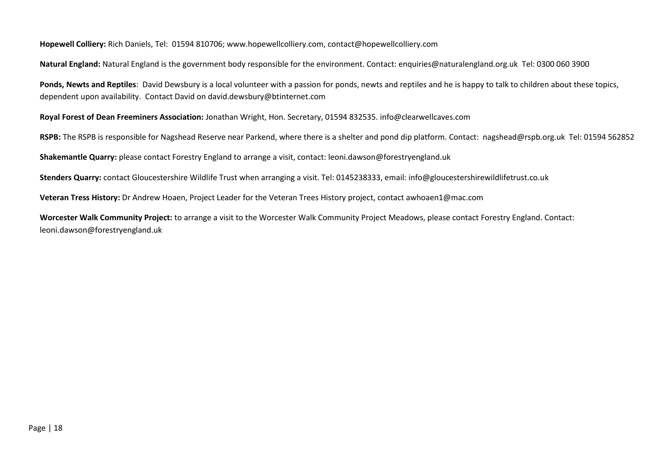#### **Hopewell Colliery:** Rich Daniels, Tel: 01594 810706; www.hopewellcolliery.com, contact@hopewellcolliery.com

**Natural England:** Natural England is the government body responsible for the environment. Contact: enquiries@naturalengland.org.uk Tel: 0300 060 3900

**Ponds, Newts and Reptiles**: David Dewsbury is a local volunteer with a passion for ponds, newts and reptiles and he is happy to talk to children about these topics, dependent upon availability. Contact David on david.dewsbury@btinternet.com

**Royal Forest of Dean Freeminers Association:** Jonathan Wright, Hon. Secretary, 01594 832535. info@clearwellcaves.com

**RSPB:** The RSPB is responsible for Nagshead Reserve near Parkend, where there is a shelter and pond dip platform. Contact: nagshead@rspb.org.uk Tel: 01594 562852

**Shakemantle Quarry:** please contact Forestry England to arrange a visit, contact: leoni.dawson@forestryengland.uk

**Stenders Quarry:** contact Gloucestershire Wildlife Trust when arranging a visit. Tel: 0145238333, email: info@gloucestershirewildlifetrust.co.uk

**Veteran Tress History:** Dr Andrew Hoaen, Project Leader for the Veteran Trees History project, contact awhoaen1@mac.com

**Worcester Walk Community Project:** to arrange a visit to the Worcester Walk Community Project Meadows, please contact Forestry England. Contact: leoni.dawson@forestryengland.uk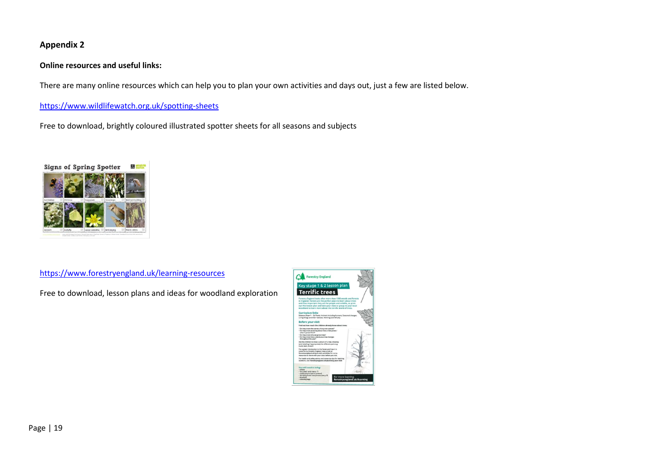### **Appendix 2**

#### **Online resources and useful links:**

There are many online resources which can help you to plan your own activities and days out, just a few are listed below.

<https://www.wildlifewatch.org.uk/spotting-sheets>

Free to download, brightly coloured illustrated spotter sheets for all seasons and subjects



<https://www.forestryengland.uk/learning-resources>

Free to download, lesson plans and ideas for woodland exploration